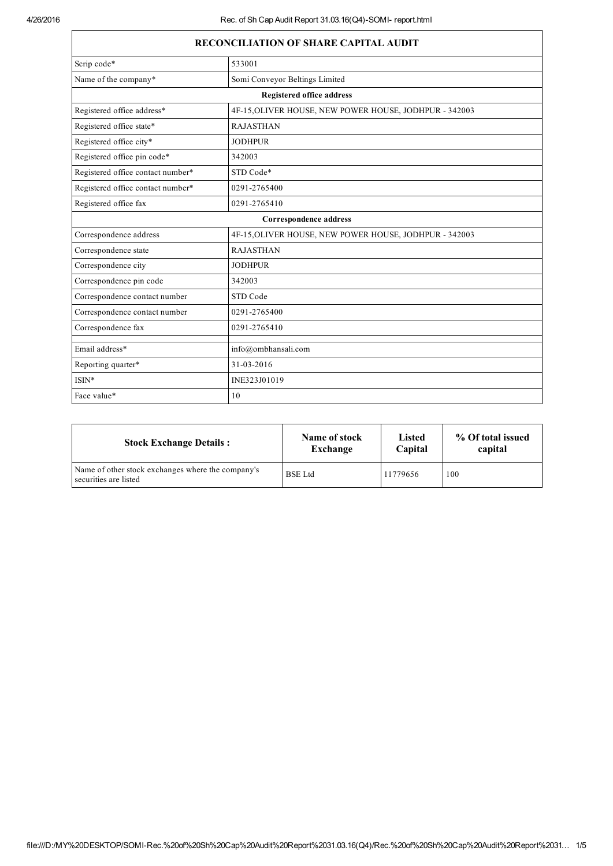| <b>RECONCILIATION OF SHARE CAPITAL AUDIT</b>                                         |                                                        |  |  |
|--------------------------------------------------------------------------------------|--------------------------------------------------------|--|--|
| Scrip code*                                                                          | 533001                                                 |  |  |
| Name of the company*<br>Somi Conveyor Beltings Limited                               |                                                        |  |  |
| <b>Registered office address</b>                                                     |                                                        |  |  |
| Registered office address*<br>4F-15, OLIVER HOUSE, NEW POWER HOUSE, JODHPUR - 342003 |                                                        |  |  |
| Registered office state*                                                             | <b>RAJASTHAN</b>                                       |  |  |
| Registered office city*                                                              | <b>JODHPUR</b>                                         |  |  |
| Registered office pin code*<br>342003                                                |                                                        |  |  |
| Registered office contact number*<br>STD Code*                                       |                                                        |  |  |
| Registered office contact number*<br>0291-2765400                                    |                                                        |  |  |
| Registered office fax                                                                | 0291-2765410                                           |  |  |
| Correspondence address                                                               |                                                        |  |  |
| Correspondence address                                                               | 4F-15, OLIVER HOUSE, NEW POWER HOUSE, JODHPUR - 342003 |  |  |
| <b>RAJASTHAN</b><br>Correspondence state                                             |                                                        |  |  |
| Correspondence city<br><b>JODHPUR</b>                                                |                                                        |  |  |
| Correspondence pin code<br>342003                                                    |                                                        |  |  |
| Correspondence contact number<br>STD Code                                            |                                                        |  |  |
| Correspondence contact number<br>0291-2765400                                        |                                                        |  |  |
| Correspondence fax                                                                   | 0291-2765410                                           |  |  |
| Email address*                                                                       | info@ombhansali.com                                    |  |  |
| Reporting quarter*                                                                   | 31-03-2016                                             |  |  |
| ISIN*                                                                                | INE323J01019                                           |  |  |
| Face value*                                                                          | 10                                                     |  |  |

| <b>Stock Exchange Details:</b>                                             | Name of stock  | Listed   | % Of total issued |
|----------------------------------------------------------------------------|----------------|----------|-------------------|
|                                                                            | Exchange       | Capital  | capital           |
| Name of other stock exchanges where the company's<br>securities are listed | <b>BSE</b> Ltd | 11779656 | 100               |

## file:///D:/MY%20DESKTOP/SOMIRec.%20of%20Sh%20Cap%20Audit%20Report%2031.03.16(Q4)/Rec.%20of%20Sh%20Cap%20Audit%20Report%2031… 1/5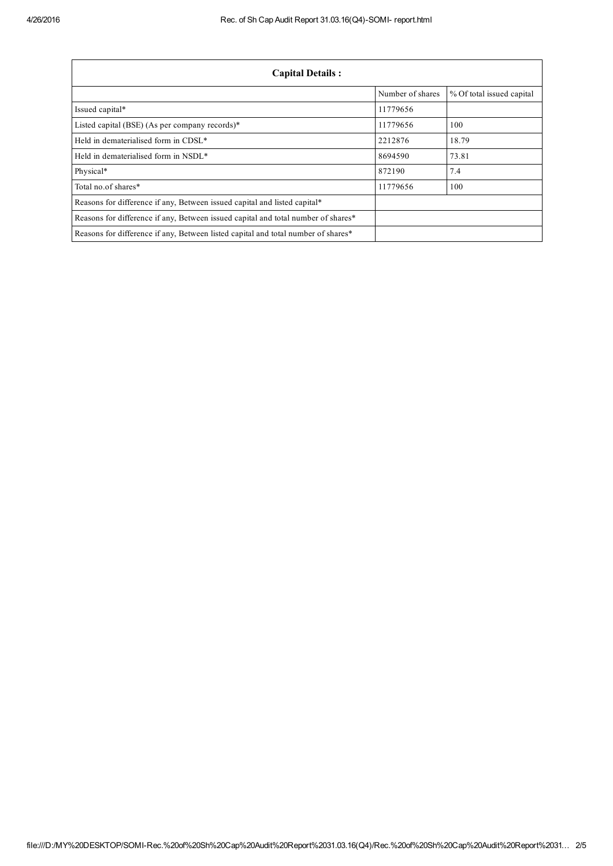| <b>Capital Details:</b>                                                           |                  |                           |  |
|-----------------------------------------------------------------------------------|------------------|---------------------------|--|
|                                                                                   | Number of shares | % Of total issued capital |  |
| Issued capital*                                                                   | 11779656         |                           |  |
| Listed capital (BSE) (As per company records)*                                    | 11779656         | 100                       |  |
| Held in dematerialised form in CDSL <sup>*</sup>                                  | 2212876          | 18.79                     |  |
| Held in dematerialised form in NSDL*                                              | 8694590          | 73.81                     |  |
| Physical*                                                                         | 872190           | 7.4                       |  |
| Total no of shares*                                                               | 11779656         | 100                       |  |
| Reasons for difference if any, Between issued capital and listed capital*         |                  |                           |  |
| Reasons for difference if any, Between issued capital and total number of shares* |                  |                           |  |
| Reasons for difference if any, Between listed capital and total number of shares* |                  |                           |  |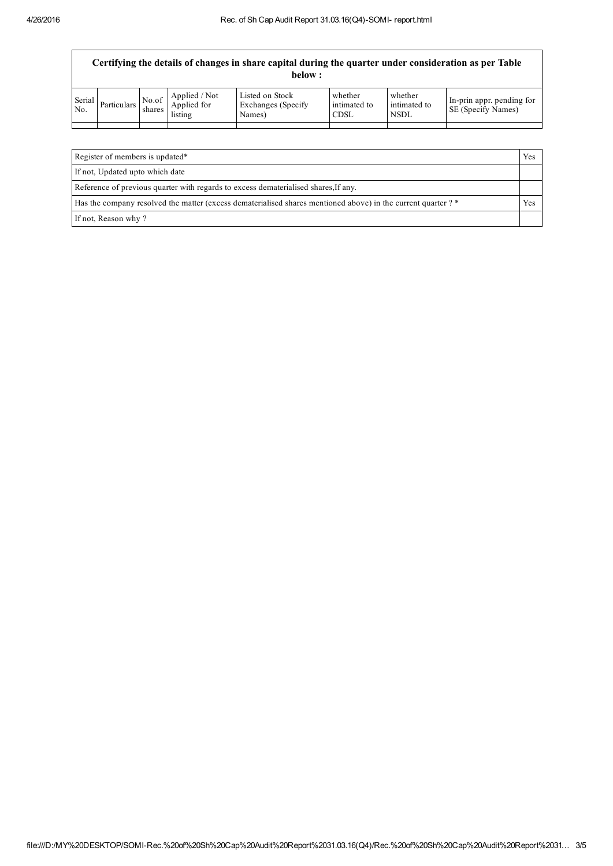| Certifying the details of changes in share capital during the quarter under consideration as per Table<br>below : |             |                 |                                         |                                                  |                                        |                                        |                                                 |
|-------------------------------------------------------------------------------------------------------------------|-------------|-----------------|-----------------------------------------|--------------------------------------------------|----------------------------------------|----------------------------------------|-------------------------------------------------|
| Serial<br>No.                                                                                                     | Particulars | No.of<br>shares | Applied / Not<br>Applied for<br>listing | Listed on Stock<br>Exchanges (Specify)<br>Names) | whether<br>intimated to<br><b>CDSL</b> | whether<br>intimated to<br><b>NSDL</b> | In-prin appr. pending for<br>SE (Specify Names) |
|                                                                                                                   |             |                 |                                         |                                                  |                                        |                                        |                                                 |
|                                                                                                                   |             |                 |                                         |                                                  |                                        |                                        |                                                 |

| Register of members is updated*                                                                               | Yes |  |
|---------------------------------------------------------------------------------------------------------------|-----|--|
| If not, Updated upto which date                                                                               |     |  |
| Reference of previous quarter with regards to excess dematerialised shares. If any.                           |     |  |
| Has the company resolved the matter (excess dematerialised shares mentioned above) in the current quarter ? * |     |  |
| If not, Reason why?                                                                                           |     |  |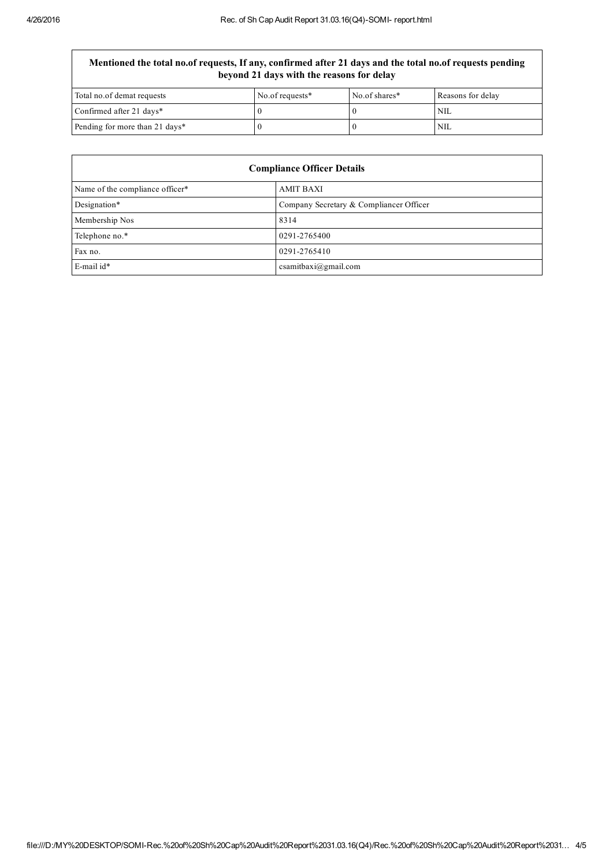## Mentioned the total no.of requests, If any, confirmed after 21 days and the total no.of requests pending beyond 21 days with the reasons for delay

| Total no.of demat requests     | No.of requests* | No.of shares* | Reasons for delay |
|--------------------------------|-----------------|---------------|-------------------|
| Confirmed after 21 days*       |                 |               | NIL.              |
| Pending for more than 21 days* |                 |               | NIL               |

| <b>Compliance Officer Details</b> |                                         |  |
|-----------------------------------|-----------------------------------------|--|
| Name of the compliance officer*   | <b>AMIT BAXI</b>                        |  |
| Designation*                      | Company Secretary & Compliancer Officer |  |
| Membership Nos                    | 8314                                    |  |
| Telephone no.*                    | 0291-2765400                            |  |
| Fax no.                           | 0291-2765410                            |  |
| $E$ -mail id*                     | csamitbaxi@gmail.com                    |  |